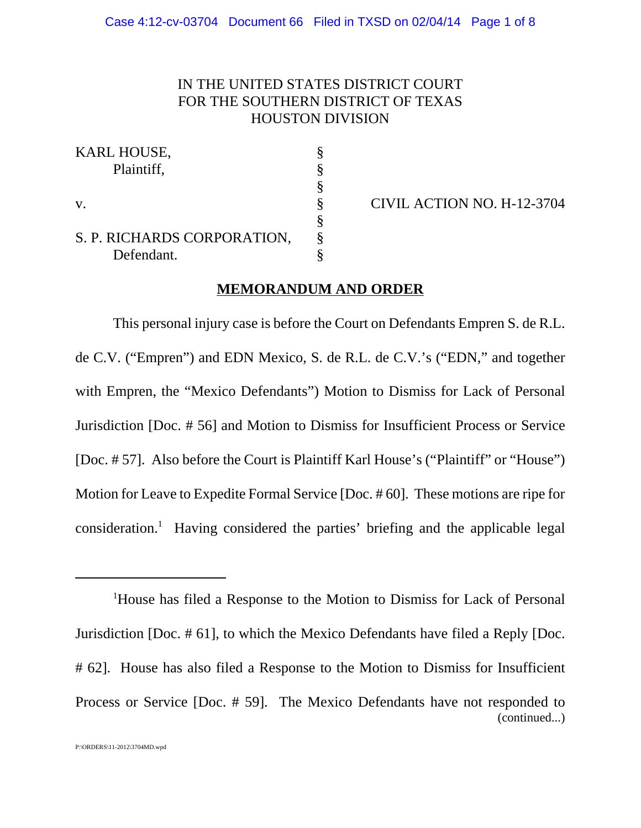# IN THE UNITED STATES DISTRICT COURT FOR THE SOUTHERN DISTRICT OF TEXAS HOUSTON DIVISION

| <b>KARL HOUSE,</b>          |  |
|-----------------------------|--|
| Plaintiff,                  |  |
|                             |  |
| $V_{\cdot}$                 |  |
|                             |  |
| S. P. RICHARDS CORPORATION, |  |
| Defendant.                  |  |

CIVIL ACTION NO. H-12-3704

### **MEMORANDUM AND ORDER**

This personal injury case is before the Court on Defendants Empren S. de R.L. de C.V. ("Empren") and EDN Mexico, S. de R.L. de C.V.'s ("EDN," and together with Empren, the "Mexico Defendants") Motion to Dismiss for Lack of Personal Jurisdiction [Doc. # 56] and Motion to Dismiss for Insufficient Process or Service [Doc. # 57]. Also before the Court is Plaintiff Karl House's ("Plaintiff" or "House") Motion for Leave to Expedite Formal Service [Doc. # 60]. These motions are ripe for consideration.<sup>1</sup> Having considered the parties' briefing and the applicable legal

<sup>1</sup>House has filed a Response to the Motion to Dismiss for Lack of Personal Jurisdiction [Doc. # 61], to which the Mexico Defendants have filed a Reply [Doc. # 62]. House has also filed a Response to the Motion to Dismiss for Insufficient Process or Service [Doc. # 59]. The Mexico Defendants have not responded to (continued...)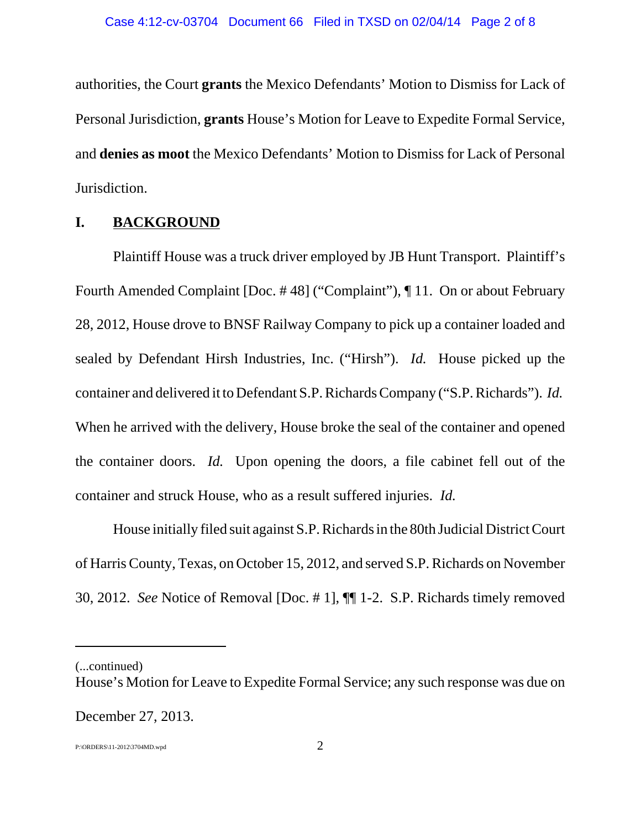authorities, the Court **grants** the Mexico Defendants' Motion to Dismiss for Lack of Personal Jurisdiction, **grants** House's Motion for Leave to Expedite Formal Service, and **denies as moot** the Mexico Defendants' Motion to Dismiss for Lack of Personal Jurisdiction.

## **I. BACKGROUND**

Plaintiff House was a truck driver employed by JB Hunt Transport. Plaintiff's Fourth Amended Complaint [Doc. # 48] ("Complaint"), ¶ 11. On or about February 28, 2012, House drove to BNSF Railway Company to pick up a container loaded and sealed by Defendant Hirsh Industries, Inc. ("Hirsh"). *Id.* House picked up the container and delivered it to Defendant S.P. Richards Company ("S.P. Richards"). *Id.* When he arrived with the delivery, House broke the seal of the container and opened the container doors. *Id.* Upon opening the doors, a file cabinet fell out of the container and struck House, who as a result suffered injuries. *Id.*

House initially filed suit against S.P. Richards in the 80th Judicial District Court of Harris County, Texas, on October 15, 2012, and served S.P. Richards on November 30, 2012. *See* Notice of Removal [Doc. # 1], ¶¶ 1-2. S.P. Richards timely removed

(...continued)

December 27, 2013.

P:\ORDERS\11-2012\3704MD.wpd 2

House's Motion for Leave to Expedite Formal Service; any such response was due on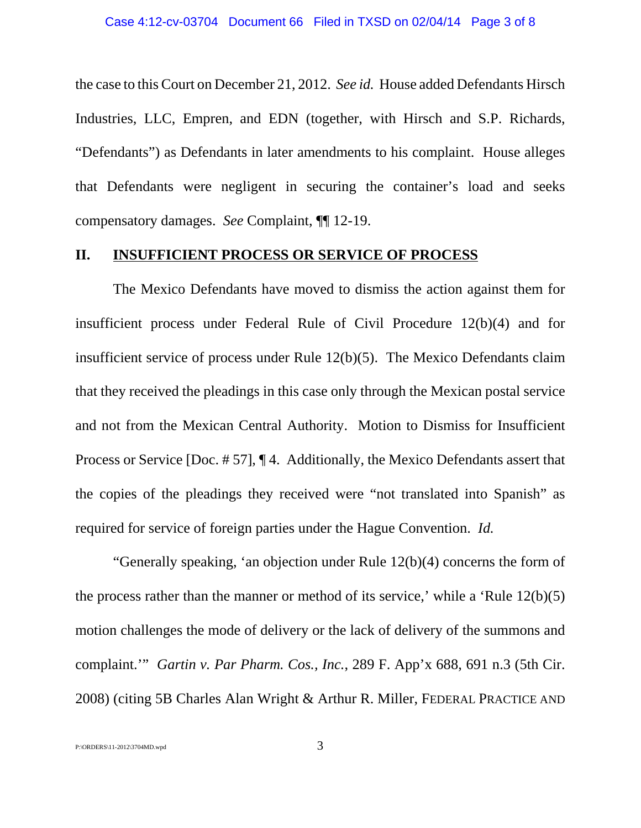the case to this Court on December 21, 2012. *See id.* House added Defendants Hirsch Industries, LLC, Empren, and EDN (together, with Hirsch and S.P. Richards, "Defendants") as Defendants in later amendments to his complaint. House alleges that Defendants were negligent in securing the container's load and seeks compensatory damages. *See* Complaint, ¶¶ 12-19.

#### **II. INSUFFICIENT PROCESS OR SERVICE OF PROCESS**

The Mexico Defendants have moved to dismiss the action against them for insufficient process under Federal Rule of Civil Procedure 12(b)(4) and for insufficient service of process under Rule 12(b)(5). The Mexico Defendants claim that they received the pleadings in this case only through the Mexican postal service and not from the Mexican Central Authority. Motion to Dismiss for Insufficient Process or Service [Doc. # 57], ¶ 4. Additionally, the Mexico Defendants assert that the copies of the pleadings they received were "not translated into Spanish" as required for service of foreign parties under the Hague Convention. *Id.*

"Generally speaking, 'an objection under Rule 12(b)(4) concerns the form of the process rather than the manner or method of its service,' while a 'Rule 12(b)(5) motion challenges the mode of delivery or the lack of delivery of the summons and complaint.'" *Gartin v. Par Pharm. Cos., Inc.*, 289 F. App'x 688, 691 n.3 (5th Cir. 2008) (citing 5B Charles Alan Wright & Arthur R. Miller, FEDERAL PRACTICE AND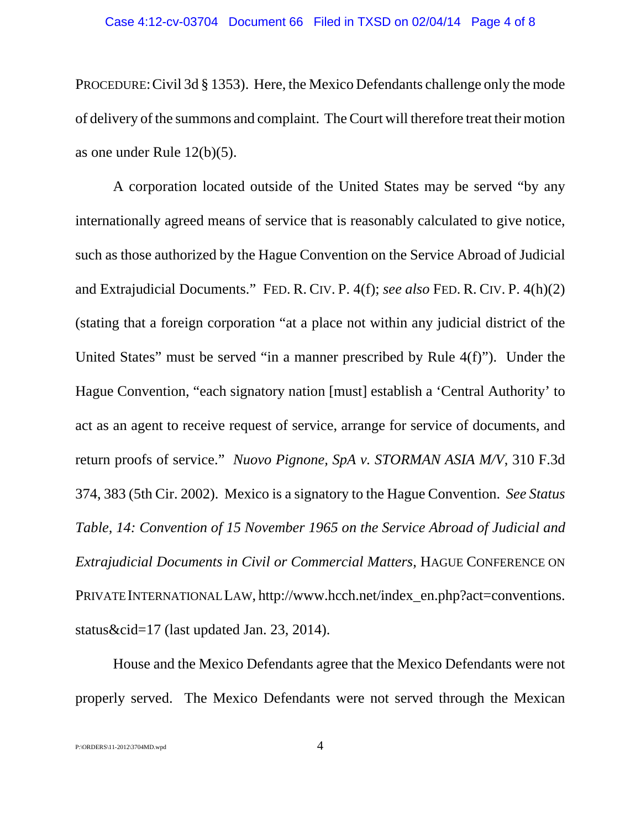PROCEDURE:Civil 3d § 1353). Here, the Mexico Defendants challenge only the mode of delivery of the summons and complaint. The Court will therefore treat their motion as one under Rule 12(b)(5).

A corporation located outside of the United States may be served "by any internationally agreed means of service that is reasonably calculated to give notice, such as those authorized by the Hague Convention on the Service Abroad of Judicial and Extrajudicial Documents." FED. R. CIV. P. 4(f); *see also* FED. R. CIV. P. 4(h)(2) (stating that a foreign corporation "at a place not within any judicial district of the United States" must be served "in a manner prescribed by Rule 4(f)"). Under the Hague Convention, "each signatory nation [must] establish a 'Central Authority' to act as an agent to receive request of service, arrange for service of documents, and return proofs of service." *Nuovo Pignone, SpA v. STORMAN ASIA M/V*, 310 F.3d 374, 383 (5th Cir. 2002). Mexico is a signatory to the Hague Convention. *See Status Table, 14: Convention of 15 November 1965 on the Service Abroad of Judicial and Extrajudicial Documents in Civil or Commercial Matters*, HAGUE CONFERENCE ON PRIVATE INTERNATIONAL LAW, http://www.hcch.net/index\_en.php?act=conventions. status&cid=17 (last updated Jan. 23, 2014).

House and the Mexico Defendants agree that the Mexico Defendants were not properly served. The Mexico Defendants were not served through the Mexican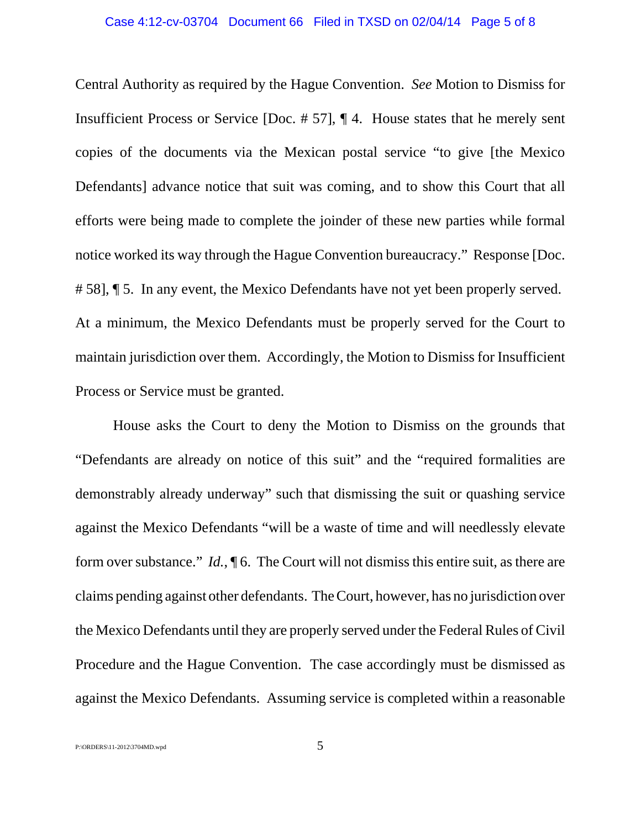Central Authority as required by the Hague Convention. *See* Motion to Dismiss for Insufficient Process or Service [Doc. # 57], ¶ 4. House states that he merely sent copies of the documents via the Mexican postal service "to give [the Mexico Defendants] advance notice that suit was coming, and to show this Court that all efforts were being made to complete the joinder of these new parties while formal notice worked its way through the Hague Convention bureaucracy." Response [Doc. # 58], ¶ 5. In any event, the Mexico Defendants have not yet been properly served. At a minimum, the Mexico Defendants must be properly served for the Court to maintain jurisdiction over them. Accordingly, the Motion to Dismiss for Insufficient Process or Service must be granted.

House asks the Court to deny the Motion to Dismiss on the grounds that "Defendants are already on notice of this suit" and the "required formalities are demonstrably already underway" such that dismissing the suit or quashing service against the Mexico Defendants "will be a waste of time and will needlessly elevate form over substance." *Id.*, **[6.** The Court will not dismiss this entire suit, as there are claims pending against other defendants. The Court, however, has no jurisdiction over the Mexico Defendants until they are properly served under the Federal Rules of Civil Procedure and the Hague Convention. The case accordingly must be dismissed as against the Mexico Defendants. Assuming service is completed within a reasonable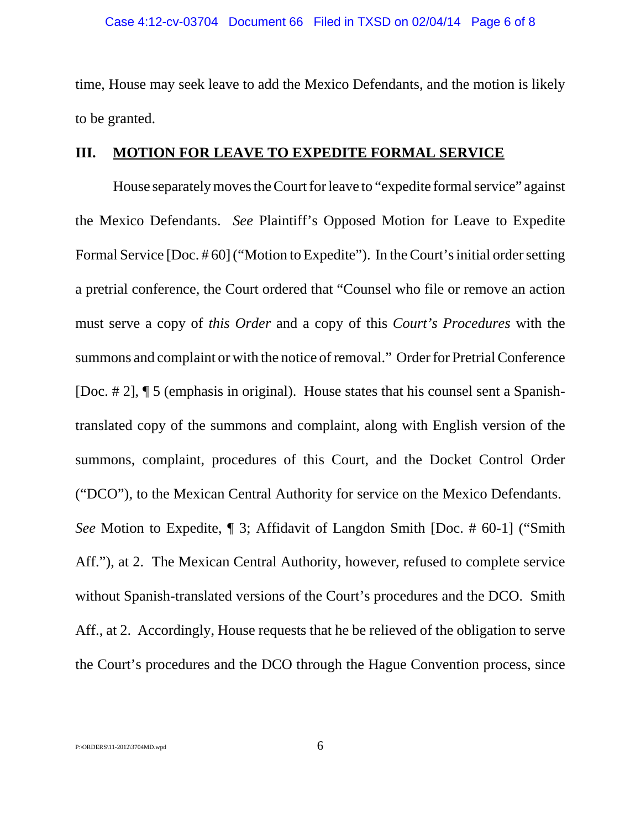time, House may seek leave to add the Mexico Defendants, and the motion is likely to be granted.

#### **III. MOTION FOR LEAVE TO EXPEDITE FORMAL SERVICE**

House separately moves the Court for leave to "expedite formal service" against the Mexico Defendants. *See* Plaintiff's Opposed Motion for Leave to Expedite Formal Service [Doc. #60] ("Motion to Expedite"). In the Court's initial order setting a pretrial conference, the Court ordered that "Counsel who file or remove an action must serve a copy of *this Order* and a copy of this *Court's Procedures* with the summons and complaint or with the notice of removal." Order for Pretrial Conference [Doc. # 2], ¶ 5 (emphasis in original). House states that his counsel sent a Spanishtranslated copy of the summons and complaint, along with English version of the summons, complaint, procedures of this Court, and the Docket Control Order ("DCO"), to the Mexican Central Authority for service on the Mexico Defendants. *See* Motion to Expedite, ¶ 3; Affidavit of Langdon Smith [Doc. # 60-1] ("Smith Aff."), at 2. The Mexican Central Authority, however, refused to complete service without Spanish-translated versions of the Court's procedures and the DCO. Smith Aff., at 2. Accordingly, House requests that he be relieved of the obligation to serve the Court's procedures and the DCO through the Hague Convention process, since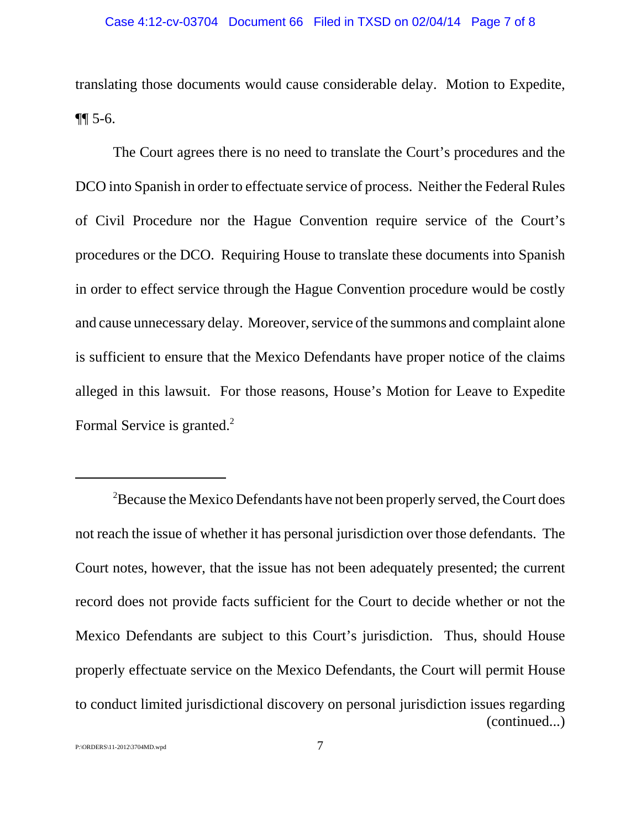translating those documents would cause considerable delay. Motion to Expedite, ¶¶ 5-6.

The Court agrees there is no need to translate the Court's procedures and the DCO into Spanish in order to effectuate service of process. Neither the Federal Rules of Civil Procedure nor the Hague Convention require service of the Court's procedures or the DCO. Requiring House to translate these documents into Spanish in order to effect service through the Hague Convention procedure would be costly and cause unnecessary delay. Moreover, service of the summons and complaint alone is sufficient to ensure that the Mexico Defendants have proper notice of the claims alleged in this lawsuit. For those reasons, House's Motion for Leave to Expedite Formal Service is granted.<sup>2</sup>

 ${}^{2}$ Because the Mexico Defendants have not been properly served, the Court does not reach the issue of whether it has personal jurisdiction over those defendants. The Court notes, however, that the issue has not been adequately presented; the current record does not provide facts sufficient for the Court to decide whether or not the Mexico Defendants are subject to this Court's jurisdiction. Thus, should House properly effectuate service on the Mexico Defendants, the Court will permit House to conduct limited jurisdictional discovery on personal jurisdiction issues regarding (continued...)